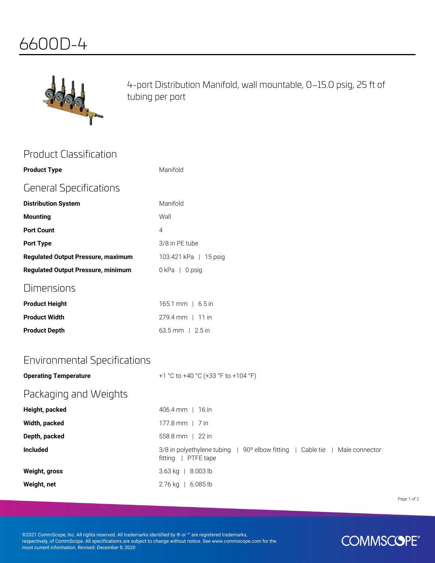# 6600D-4



4-port Distribution Manifold, wall mountable, 0–15.0 psig, 25 ft of tubing per port

| <b>Product Classification</b>             |                                                                                                    |
|-------------------------------------------|----------------------------------------------------------------------------------------------------|
| <b>Product Type</b>                       | Manifold                                                                                           |
| <b>General Specifications</b>             |                                                                                                    |
| <b>Distribution System</b>                | Manifold                                                                                           |
| <b>Mounting</b>                           | Wall                                                                                               |
| <b>Port Count</b>                         | 4                                                                                                  |
| <b>Port Type</b>                          | 3/8 in PE tube                                                                                     |
| <b>Regulated Output Pressure, maximum</b> | 103.421 kPa   15 psig                                                                              |
| <b>Regulated Output Pressure, minimum</b> | 0kPa   0psig                                                                                       |
| Dimensions                                |                                                                                                    |
| <b>Product Height</b>                     | 165.1 mm   6.5 in                                                                                  |
| <b>Product Width</b>                      | 279.4 mm   11 in                                                                                   |
| <b>Product Depth</b>                      | 63.5 mm   2.5 in                                                                                   |
|                                           |                                                                                                    |
| <b>Environmental Specifications</b>       |                                                                                                    |
| <b>Operating Temperature</b>              | +1 °C to +40 °C (+33 °F to +104 °F)                                                                |
| Packaging and Weights                     |                                                                                                    |
| Height, packed                            | 406.4 mm   16 in                                                                                   |
| Width, packed                             | 177.8 mm   7 in                                                                                    |
| Depth, packed                             | 558.8 mm   22 in                                                                                   |
| <b>Included</b>                           | 3/8 in polyethylene tubing   90° elbow fitting   Cable tie   Male connector<br>fitting   PTFE tape |
| Weight, gross                             | 3.63 kg   8.003 lb                                                                                 |
| Weight, net                               | 2.76 kg   6.085 lb                                                                                 |
|                                           |                                                                                                    |

Page 1 of 2

©2021 CommScope, Inc. All rights reserved. All trademarks identified by ® or ™ are registered trademarks, respectively, of CommScope. All specifications are subject to change without notice. See www.commscope.com for the most current information. Revised: December 8, 2020